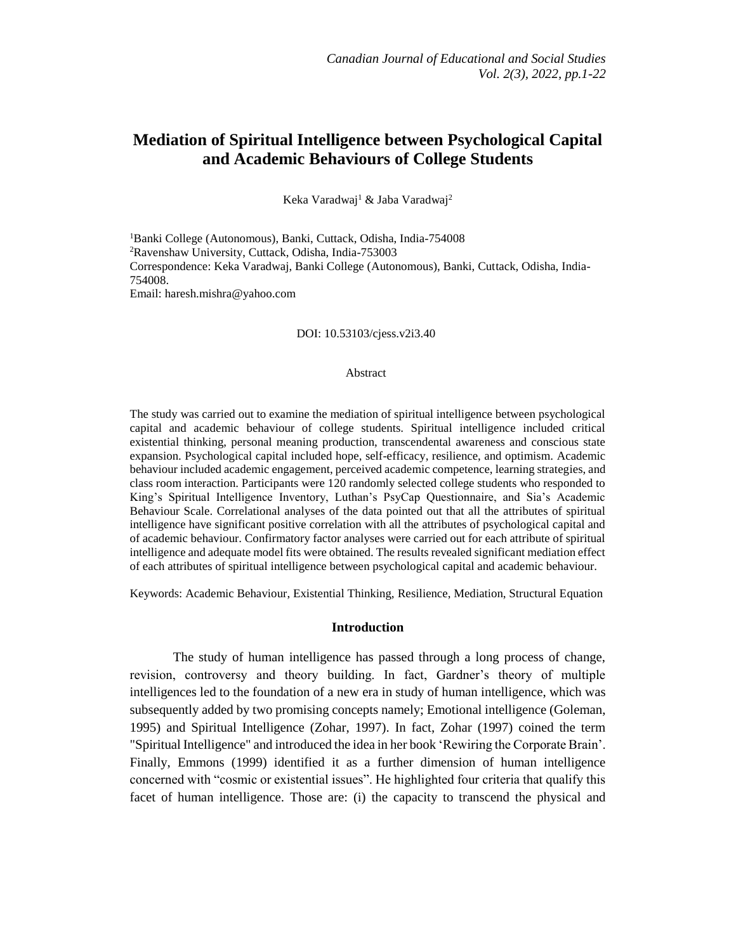# **Mediation of Spiritual Intelligence between Psychological Capital and Academic Behaviours of College Students**

Keka Varadwaj<sup>1</sup> & Jaba Varadwaj<sup>2</sup>

<sup>1</sup>Banki College (Autonomous), Banki, Cuttack, Odisha, India-754008 <sup>2</sup>Ravenshaw University, Cuttack, Odisha, India-753003 Correspondence: Keka Varadwaj, Banki College (Autonomous), Banki, Cuttack, Odisha, India-754008. Email: [haresh.mishra@yahoo.com](mailto:haresh.mishra@yahoo.com)

DOI: 10.53103/cjess.v2i3.40

#### Abstract

The study was carried out to examine the mediation of spiritual intelligence between psychological capital and academic behaviour of college students. Spiritual intelligence included critical existential thinking, personal meaning production, transcendental awareness and conscious state expansion. Psychological capital included hope, self-efficacy, resilience, and optimism. Academic behaviour included academic engagement, perceived academic competence, learning strategies, and class room interaction. Participants were 120 randomly selected college students who responded to King's Spiritual Intelligence Inventory, Luthan's PsyCap Questionnaire, and Sia's Academic Behaviour Scale. Correlational analyses of the data pointed out that all the attributes of spiritual intelligence have significant positive correlation with all the attributes of psychological capital and of academic behaviour. Confirmatory factor analyses were carried out for each attribute of spiritual intelligence and adequate model fits were obtained. The results revealed significant mediation effect of each attributes of spiritual intelligence between psychological capital and academic behaviour.

Keywords: Academic Behaviour, Existential Thinking, Resilience, Mediation, Structural Equation

### **Introduction**

The study of human intelligence has passed through a long process of change, revision, controversy and theory building. In fact, Gardner's theory of multiple intelligences led to the foundation of a new era in study of human intelligence, which was subsequently added by two promising concepts namely; Emotional intelligence (Goleman, 1995) and Spiritual Intelligence (Zohar, 1997). In fact, Zohar (1997) coined the term "Spiritual Intelligence" and introduced the idea in her book 'Rewiring the Corporate Brain'. Finally, Emmons (1999) identified it as a further dimension of human intelligence concerned with "cosmic or existential issues". He highlighted four criteria that qualify this facet of human intelligence. Those are: (i) the capacity to transcend the physical and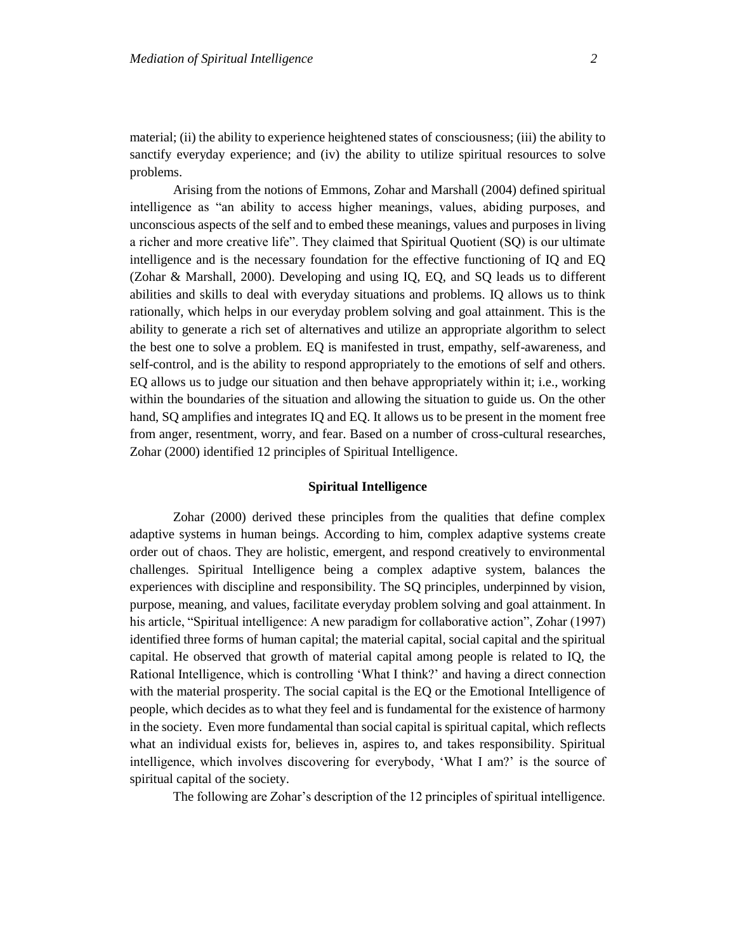material; (ii) the ability to experience heightened states of consciousness; (iii) the ability to sanctify everyday experience; and (iv) the ability to utilize spiritual resources to solve problems.

Arising from the notions of Emmons, Zohar and Marshall (2004) defined spiritual intelligence as "an ability to access higher meanings, values, abiding purposes, and unconscious aspects of the self and to embed these meanings, values and purposes in living a richer and more creative life". They claimed that Spiritual Quotient (SQ) is our ultimate intelligence and is the necessary foundation for the effective functioning of IQ and EQ (Zohar & Marshall, 2000). Developing and using IQ, EQ, and SQ leads us to different abilities and skills to deal with everyday situations and problems. IQ allows us to think rationally, which helps in our everyday problem solving and goal attainment. This is the ability to generate a rich set of alternatives and utilize an appropriate algorithm to select the best one to solve a problem. EQ is manifested in trust, empathy, self-awareness, and self-control, and is the ability to respond appropriately to the emotions of self and others. EQ allows us to judge our situation and then behave appropriately within it; i.e., working within the boundaries of the situation and allowing the situation to guide us. On the other hand, SQ amplifies and integrates IQ and EQ. It allows us to be present in the moment free from anger, resentment, worry, and fear. Based on a number of cross-cultural researches, Zohar (2000) identified 12 principles of Spiritual Intelligence.

# **Spiritual Intelligence**

Zohar (2000) derived these principles from the qualities that define complex adaptive systems in human beings. According to him, complex adaptive systems create order out of chaos. They are holistic, emergent, and respond creatively to environmental challenges. Spiritual Intelligence being a complex adaptive system, balances the experiences with discipline and responsibility. The SQ principles, underpinned by vision, purpose, meaning, and values, facilitate everyday problem solving and goal attainment. In his article, "Spiritual intelligence: A new paradigm for collaborative action", Zohar (1997) identified three forms of human capital; the material capital, social capital and the spiritual capital. He observed that growth of material capital among people is related to IQ, the Rational Intelligence, which is controlling 'What I think?' and having a direct connection with the material prosperity. The social capital is the EQ or the Emotional Intelligence of people, which decides as to what they feel and is fundamental for the existence of harmony in the society. Even more fundamental than social capital is spiritual capital, which reflects what an individual exists for, believes in, aspires to, and takes responsibility. Spiritual intelligence, which involves discovering for everybody, 'What I am?' is the source of spiritual capital of the society.

The following are Zohar's description of the 12 principles of spiritual intelligence.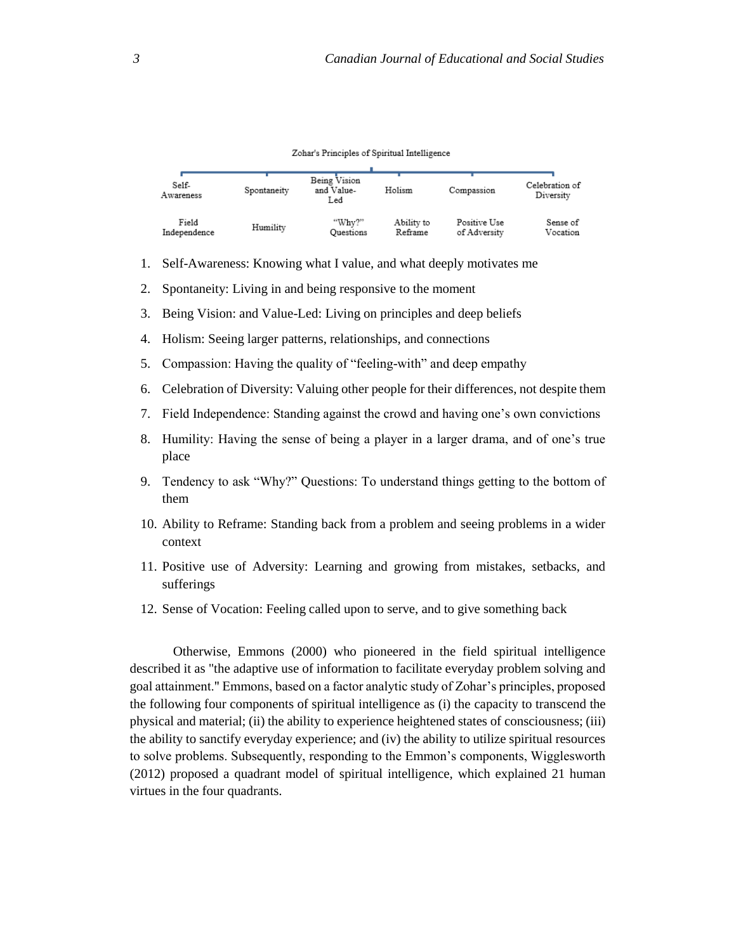#### Zohar's Principles of Spiritual Intelligence

| Self-<br>Awareness | Spontaneity | Being Vision<br>and Value-<br>Led | Holism     | Compassion   | Celebration of<br>Diversity |
|--------------------|-------------|-----------------------------------|------------|--------------|-----------------------------|
| Field              | Humility    | "Why?"                            | Ability to | Positive Use | Sense of                    |
| Independence       |             | Questions                         | Reframe    | of Adversity | Vocation                    |

- 1. Self-Awareness: Knowing what I value, and what deeply motivates me
- 2. Spontaneity: Living in and being responsive to the moment
- 3. Being Vision: and Value-Led: Living on principles and deep beliefs
- 4. Holism: Seeing larger patterns, relationships, and connections
- 5. Compassion: Having the quality of "feeling-with" and deep empathy
- 6. Celebration of Diversity: Valuing other people for their differences, not despite them
- 7. Field Independence: Standing against the crowd and having one's own convictions
- 8. Humility: Having the sense of being a player in a larger drama, and of one's true place
- 9. Tendency to ask "Why?" Questions: To understand things getting to the bottom of them
- 10. Ability to Reframe: Standing back from a problem and seeing problems in a wider context
- 11. Positive use of Adversity: Learning and growing from mistakes, setbacks, and sufferings
- 12. Sense of Vocation: Feeling called upon to serve, and to give something back

Otherwise, Emmons (2000) who pioneered in the field spiritual intelligence described it as "the adaptive use of information to facilitate everyday problem solving and goal attainment." Emmons, based on a factor analytic study of Zohar's principles, proposed the following four components of spiritual intelligence as (i) the capacity to transcend the physical and material; (ii) the ability to experience heightened states of consciousness; (iii) the ability to sanctify everyday experience; and (iv) the ability to utilize spiritual resources to solve problems. Subsequently, responding to the Emmon's components, Wigglesworth (2012) proposed a quadrant model of spiritual intelligence, which explained 21 human virtues in the four quadrants.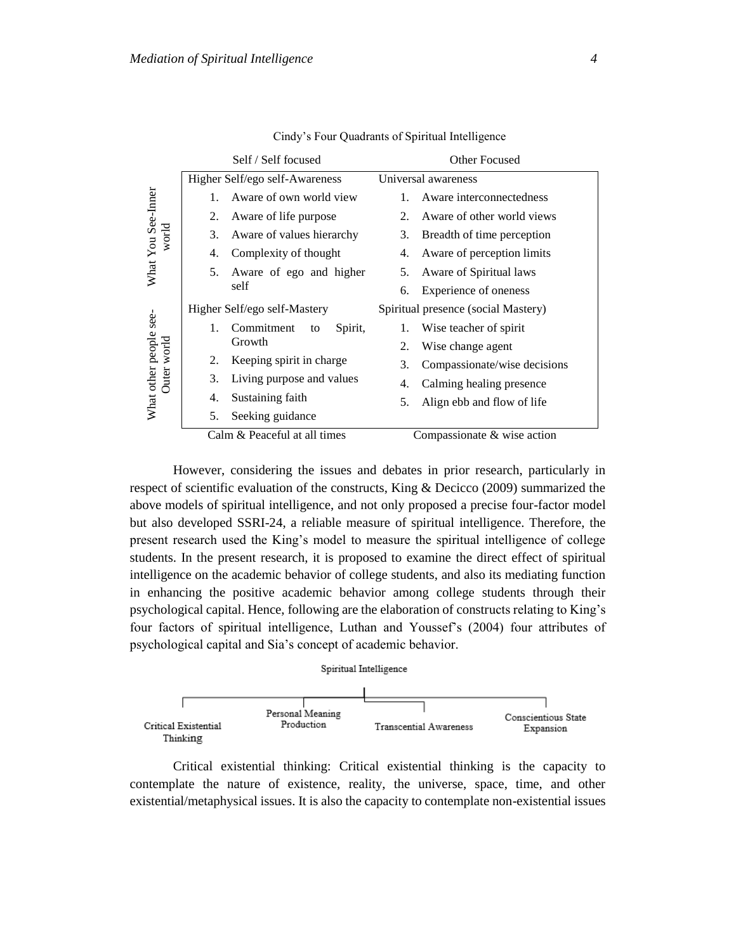|                                  |    | Self / Self focused            |    | Other Focused                       |
|----------------------------------|----|--------------------------------|----|-------------------------------------|
|                                  |    | Higher Self/ego self-Awareness |    | Universal awareness                 |
|                                  | 1. | Aware of own world view        | 1. | Aware interconnectedness            |
|                                  | 2. | Aware of life purpose          | 2. | Aware of other world views          |
| world                            | 3. | Aware of values hierarchy      | 3. | Breadth of time perception          |
| What You See-Inner               | 4. | Complexity of thought          | 4. | Aware of perception limits          |
|                                  | 5. | Aware of ego and higher        | 5. | Aware of Spiritual laws             |
|                                  |    | self                           | 6. | Experience of oneness               |
|                                  |    | Higher Self/ego self-Mastery   |    | Spiritual presence (social Mastery) |
| see-                             | 1. | Commitment<br>Spirit,<br>to    | 1. | Wise teacher of spirit              |
| What other people<br>Outer world |    | Growth                         | 2. | Wise change agent                   |
|                                  | 2. | Keeping spirit in charge       | 3. | Compassionate/wise decisions        |
|                                  | 3. | Living purpose and values      | 4. | Calming healing presence            |
|                                  | 4. | Sustaining faith               | 5. | Align ebb and flow of life          |
|                                  | 5. | Seeking guidance               |    |                                     |
|                                  |    | Calm & Peaceful at all times   |    | Compassionate & wise action         |

Cindy's Four Quadrants of Spiritual Intelligence

However, considering the issues and debates in prior research, particularly in respect of scientific evaluation of the constructs, King & Decicco (2009) summarized the above models of spiritual intelligence, and not only proposed a precise four-factor model but also developed SSRI-24, a reliable measure of spiritual intelligence. Therefore, the present research used the King's model to measure the spiritual intelligence of college students. In the present research, it is proposed to examine the direct effect of spiritual intelligence on the academic behavior of college students, and also its mediating function in enhancing the positive academic behavior among college students through their psychological capital. Hence, following are the elaboration of constructs relating to King's four factors of spiritual intelligence, Luthan and Youssef's (2004) four attributes of psychological capital and Sia's concept of academic behavior.

#### Spiritual Intelligence



Critical existential thinking: Critical existential thinking is the capacity to contemplate the nature of existence, reality, the universe, space, time, and other existential/metaphysical issues. It is also the capacity to contemplate non-existential issues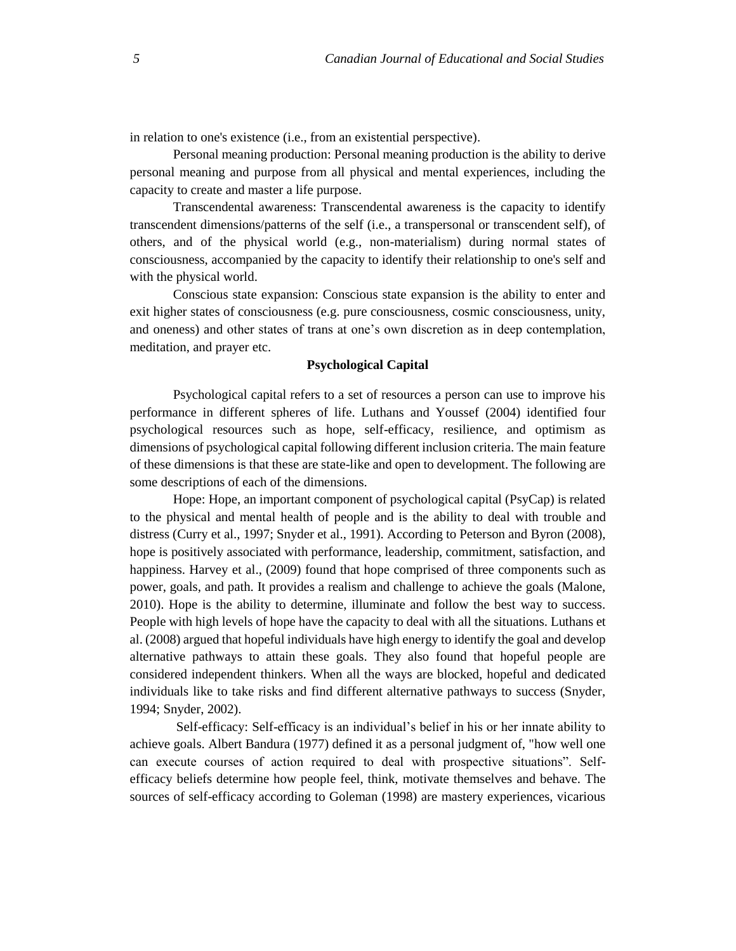in relation to one's existence (i.e., from an existential perspective).

Personal meaning production: Personal meaning production is the ability to derive personal meaning and purpose from all physical and mental experiences, including the capacity to create and master a life purpose.

Transcendental awareness: Transcendental awareness is the capacity to identify transcendent dimensions/patterns of the self (i.e., a transpersonal or transcendent self), of others, and of the physical world (e.g., non-materialism) during normal states of consciousness, accompanied by the capacity to identify their relationship to one's self and with the physical world.

Conscious state expansion: Conscious state expansion is the ability to enter and exit higher states of consciousness (e.g. pure consciousness, cosmic consciousness, unity, and oneness) and other states of trans at one's own discretion as in deep contemplation, meditation, and prayer etc.

# **Psychological Capital**

Psychological capital refers to a set of resources a person can use to improve his performance in different spheres of life. Luthans and Youssef (2004) identified four psychological resources such as hope, self-efficacy, resilience, and optimism as dimensions of psychological capital following different inclusion criteria. The main feature of these dimensions is that these are state-like and open to development. The following are some descriptions of each of the dimensions.

Hope: Hope, an important component of psychological capital (PsyCap) is related to the physical and mental health of people and is the ability to deal with trouble and distress (Curry et al., 1997; Snyder et al., 1991). According to Peterson and Byron (2008), hope is positively associated with performance, leadership, commitment, satisfaction, and happiness. Harvey et al., (2009) found that hope comprised of three components such as power, goals, and path. It provides a realism and challenge to achieve the goals (Malone, 2010). Hope is the ability to determine, illuminate and follow the best way to success. People with high levels of hope have the capacity to deal with all the situations. Luthans et al. (2008) argued that hopeful individuals have high energy to identify the goal and develop alternative pathways to attain these goals. They also found that hopeful people are considered independent thinkers. When all the ways are blocked, hopeful and dedicated individuals like to take risks and find different alternative pathways to success (Snyder, 1994; Snyder, 2002).

Self-efficacy: Self-efficacy is an individual's belief in his or her innate ability to achieve goals. Albert Bandura (1977) defined it as a personal judgment of, "how well one can execute courses of action required to deal with prospective situations". Selfefficacy beliefs determine how people feel, think, motivate themselves and behave. The sources of self-efficacy according to Goleman (1998) are mastery experiences, vicarious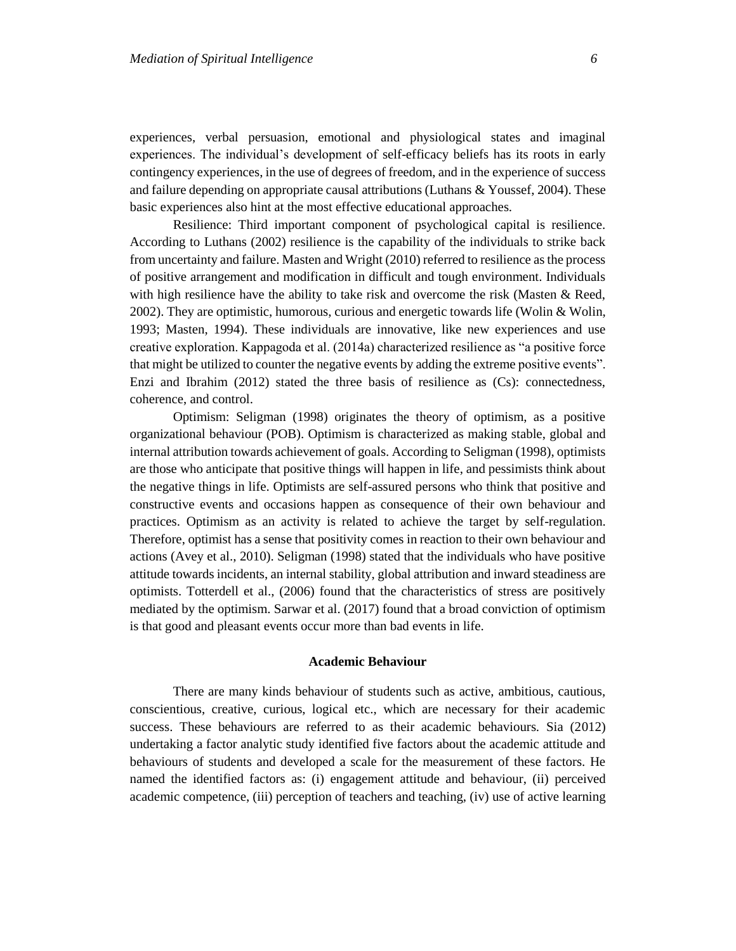experiences, verbal persuasion, emotional and physiological states and imaginal experiences. The individual's development of self-efficacy beliefs has its roots in early contingency experiences, in the use of degrees of freedom, and in the experience of success and failure depending on appropriate causal attributions (Luthans & Youssef, 2004). These basic experiences also hint at the most effective educational approaches.

Resilience: Third important component of psychological capital is resilience. According to Luthans (2002) resilience is the capability of the individuals to strike back from uncertainty and failure. Masten and Wright (2010) referred to resilience as the process of positive arrangement and modification in difficult and tough environment. Individuals with high resilience have the ability to take risk and overcome the risk (Masten  $\&$  Reed, 2002). They are optimistic, humorous, curious and energetic towards life (Wolin & Wolin, 1993; Masten, 1994). These individuals are innovative, like new experiences and use creative exploration. Kappagoda et al. (2014a) characterized resilience as "a positive force that might be utilized to counter the negative events by adding the extreme positive events". Enzi and Ibrahim (2012) stated the three basis of resilience as (Cs): connectedness, coherence, and control.

Optimism: Seligman (1998) originates the theory of optimism, as a positive organizational behaviour (POB). Optimism is characterized as making stable, global and internal attribution towards achievement of goals. According to Seligman (1998), optimists are those who anticipate that positive things will happen in life, and pessimists think about the negative things in life. Optimists are self-assured persons who think that positive and constructive events and occasions happen as consequence of their own behaviour and practices. Optimism as an activity is related to achieve the target by self-regulation. Therefore, optimist has a sense that positivity comes in reaction to their own behaviour and actions (Avey et al., 2010). Seligman (1998) stated that the individuals who have positive attitude towards incidents, an internal stability, global attribution and inward steadiness are optimists. Totterdell et al., (2006) found that the characteristics of stress are positively mediated by the optimism. Sarwar et al. (2017) found that a broad conviction of optimism is that good and pleasant events occur more than bad events in life.

# **Academic Behaviour**

There are many kinds behaviour of students such as active, ambitious, cautious, conscientious, creative, curious, logical etc., which are necessary for their academic success. These behaviours are referred to as their academic behaviours. Sia (2012) undertaking a factor analytic study identified five factors about the academic attitude and behaviours of students and developed a scale for the measurement of these factors. He named the identified factors as: (i) engagement attitude and behaviour, (ii) perceived academic competence, (iii) perception of teachers and teaching, (iv) use of active learning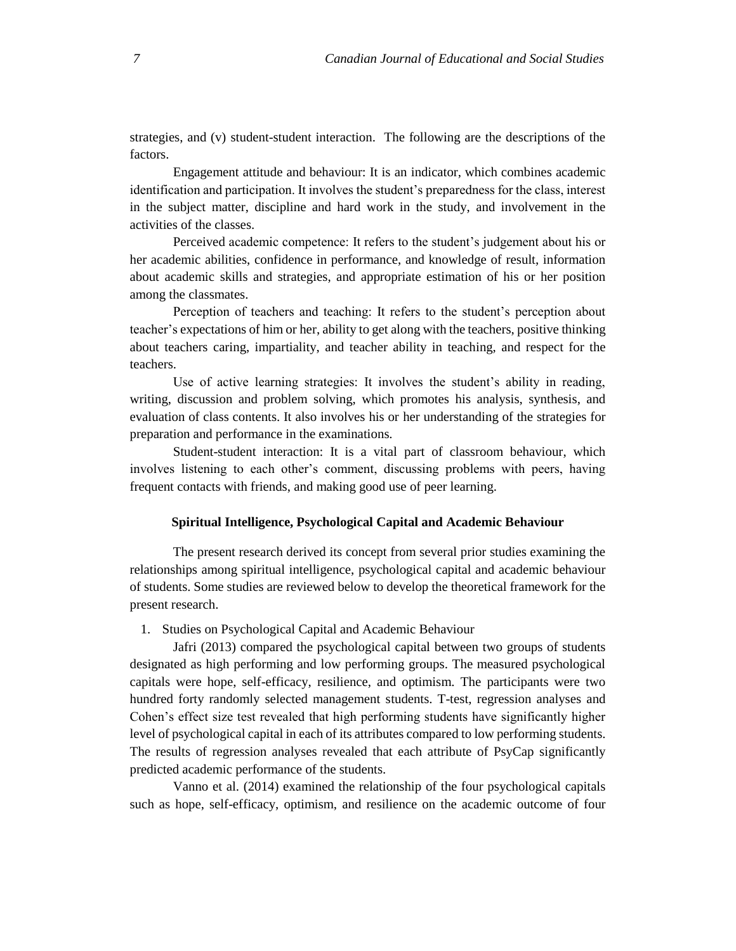strategies, and (v) student-student interaction. The following are the descriptions of the factors.

Engagement attitude and behaviour: It is an indicator, which combines academic identification and participation. It involves the student's preparedness for the class, interest in the subject matter, discipline and hard work in the study, and involvement in the activities of the classes.

Perceived academic competence: It refers to the student's judgement about his or her academic abilities, confidence in performance, and knowledge of result, information about academic skills and strategies, and appropriate estimation of his or her position among the classmates.

Perception of teachers and teaching: It refers to the student's perception about teacher's expectations of him or her, ability to get along with the teachers, positive thinking about teachers caring, impartiality, and teacher ability in teaching, and respect for the teachers.

Use of active learning strategies: It involves the student's ability in reading, writing, discussion and problem solving, which promotes his analysis, synthesis, and evaluation of class contents. It also involves his or her understanding of the strategies for preparation and performance in the examinations.

Student-student interaction: It is a vital part of classroom behaviour, which involves listening to each other's comment, discussing problems with peers, having frequent contacts with friends, and making good use of peer learning.

# **Spiritual Intelligence, Psychological Capital and Academic Behaviour**

The present research derived its concept from several prior studies examining the relationships among spiritual intelligence, psychological capital and academic behaviour of students. Some studies are reviewed below to develop the theoretical framework for the present research.

1. Studies on Psychological Capital and Academic Behaviour

Jafri (2013) compared the psychological capital between two groups of students designated as high performing and low performing groups. The measured psychological capitals were hope, self-efficacy, resilience, and optimism. The participants were two hundred forty randomly selected management students. T-test, regression analyses and Cohen's effect size test revealed that high performing students have significantly higher level of psychological capital in each of its attributes compared to low performing students. The results of regression analyses revealed that each attribute of PsyCap significantly predicted academic performance of the students.

Vanno et al. (2014) examined the relationship of the four psychological capitals such as hope, self-efficacy, optimism, and resilience on the academic outcome of four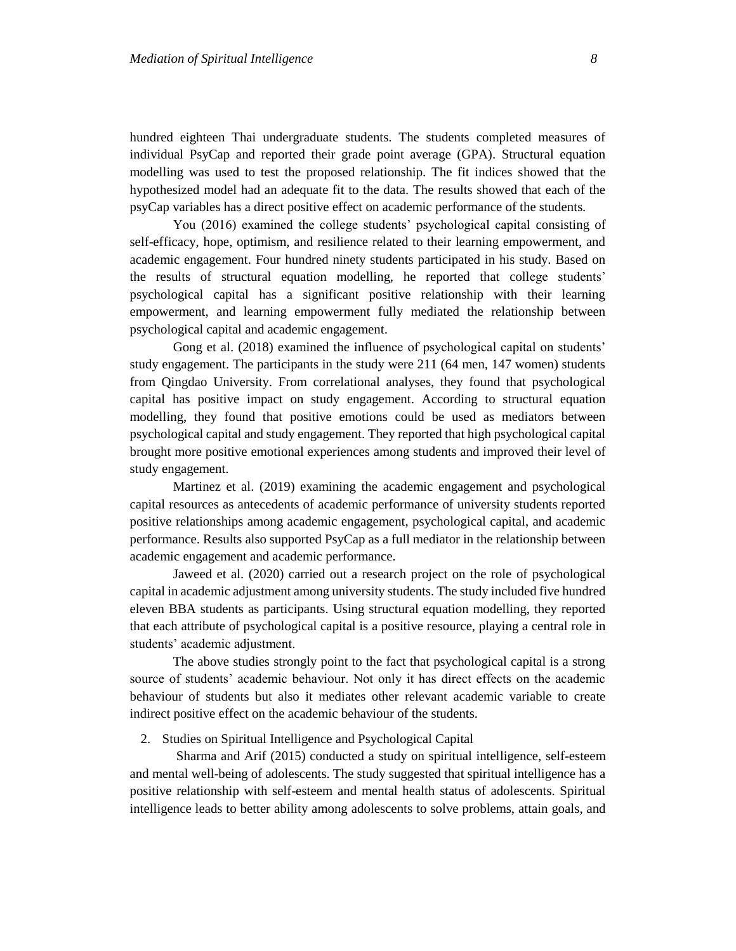hundred eighteen Thai undergraduate students. The students completed measures of individual PsyCap and reported their grade point average (GPA). Structural equation modelling was used to test the proposed relationship. The fit indices showed that the hypothesized model had an adequate fit to the data. The results showed that each of the psyCap variables has a direct positive effect on academic performance of the students.

You (2016) examined the college students' psychological capital consisting of self-efficacy, hope, optimism, and resilience related to their learning empowerment, and academic engagement. Four hundred ninety students participated in his study. Based on the results of structural equation modelling, he reported that college students' psychological capital has a significant positive relationship with their learning empowerment, and learning empowerment fully mediated the relationship between psychological capital and academic engagement.

Gong et al. (2018) examined the influence of psychological capital on students' study engagement. The participants in the study were 211 (64 men, 147 women) students from Qingdao University. From correlational analyses, they found that psychological capital has positive impact on study engagement. According to structural equation modelling, they found that positive emotions could be used as mediators between psychological capital and study engagement. They reported that high psychological capital brought more positive emotional experiences among students and improved their level of study engagement.

Martinez et al. (2019) examining the academic engagement and psychological capital resources as antecedents of academic performance of university students reported positive relationships among academic engagement, psychological capital, and academic performance. Results also supported PsyCap as a full mediator in the relationship between academic engagement and academic performance.

Jaweed et al. (2020) carried out a research project on the role of psychological capital in academic adjustment among university students. The study included five hundred eleven BBA students as participants. Using structural equation modelling, they reported that each attribute of psychological capital is a positive resource, playing a central role in students' academic adjustment.

The above studies strongly point to the fact that psychological capital is a strong source of students' academic behaviour. Not only it has direct effects on the academic behaviour of students but also it mediates other relevant academic variable to create indirect positive effect on the academic behaviour of the students.

# 2. Studies on Spiritual Intelligence and Psychological Capital

Sharma and Arif (2015) conducted a study on spiritual intelligence, self-esteem and mental well-being of adolescents. The study suggested that spiritual intelligence has a positive relationship with self-esteem and mental health status of adolescents. Spiritual intelligence leads to better ability among adolescents to solve problems, attain goals, and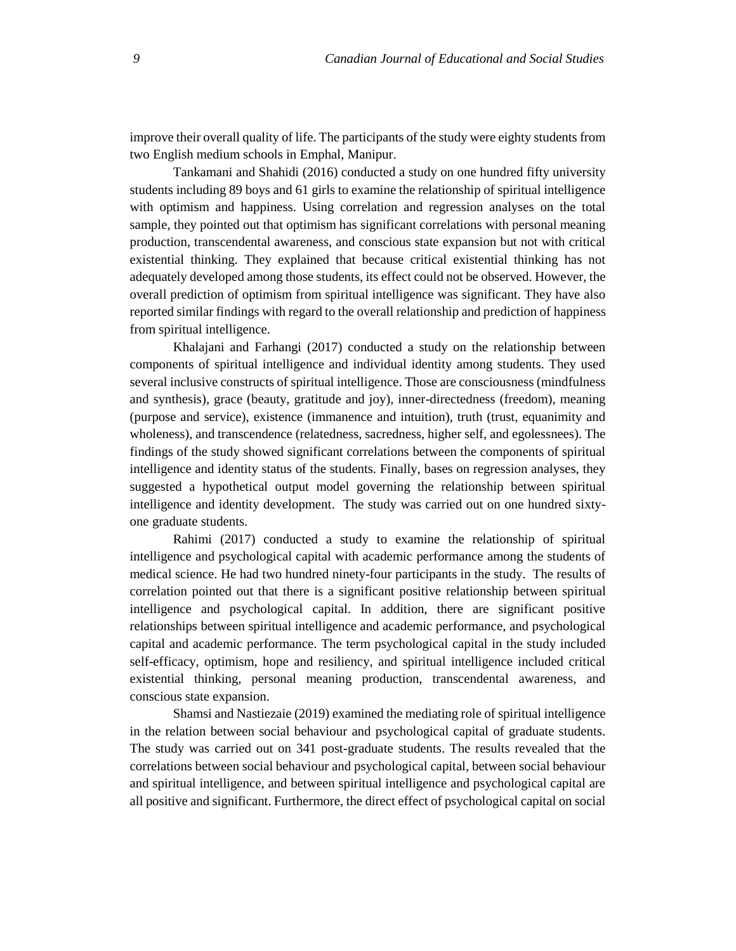improve their overall quality of life. The participants of the study were eighty students from two English medium schools in Emphal, Manipur.

Tankamani and Shahidi (2016) conducted a study on one hundred fifty university students including 89 boys and 61 girls to examine the relationship of spiritual intelligence with optimism and happiness. Using correlation and regression analyses on the total sample, they pointed out that optimism has significant correlations with personal meaning production, transcendental awareness, and conscious state expansion but not with critical existential thinking. They explained that because critical existential thinking has not adequately developed among those students, its effect could not be observed. However, the overall prediction of optimism from spiritual intelligence was significant. They have also reported similar findings with regard to the overall relationship and prediction of happiness from spiritual intelligence.

Khalajani and Farhangi (2017) conducted a study on the relationship between components of spiritual intelligence and individual identity among students. They used several inclusive constructs of spiritual intelligence. Those are consciousness (mindfulness and synthesis), grace (beauty, gratitude and joy), inner-directedness (freedom), meaning (purpose and service), existence (immanence and intuition), truth (trust, equanimity and wholeness), and transcendence (relatedness, sacredness, higher self, and egolessnees). The findings of the study showed significant correlations between the components of spiritual intelligence and identity status of the students. Finally, bases on regression analyses, they suggested a hypothetical output model governing the relationship between spiritual intelligence and identity development. The study was carried out on one hundred sixtyone graduate students.

Rahimi (2017) conducted a study to examine the relationship of spiritual intelligence and psychological capital with academic performance among the students of medical science. He had two hundred ninety-four participants in the study. The results of correlation pointed out that there is a significant positive relationship between spiritual intelligence and psychological capital. In addition, there are significant positive relationships between spiritual intelligence and academic performance, and psychological capital and academic performance. The term psychological capital in the study included self-efficacy, optimism, hope and resiliency, and spiritual intelligence included critical existential thinking, personal meaning production, transcendental awareness, and conscious state expansion.

Shamsi and Nastiezaie (2019) examined the mediating role of spiritual intelligence in the relation between social behaviour and psychological capital of graduate students. The study was carried out on 341 post-graduate students. The results revealed that the correlations between social behaviour and psychological capital, between social behaviour and spiritual intelligence, and between spiritual intelligence and psychological capital are all positive and significant. Furthermore, the direct effect of psychological capital on social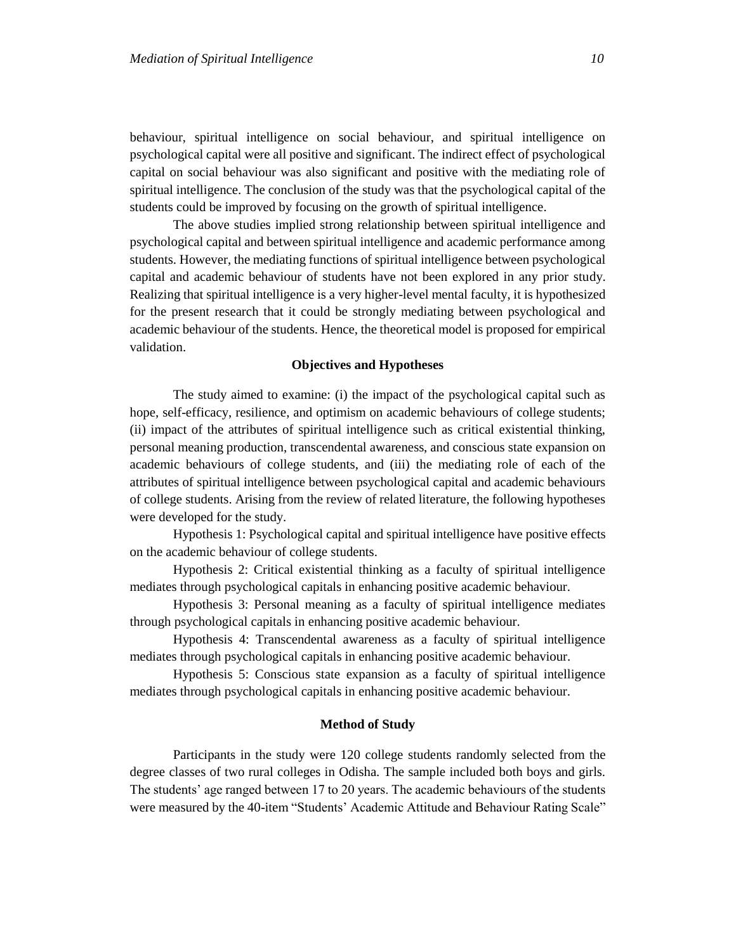behaviour, spiritual intelligence on social behaviour, and spiritual intelligence on psychological capital were all positive and significant. The indirect effect of psychological capital on social behaviour was also significant and positive with the mediating role of spiritual intelligence. The conclusion of the study was that the psychological capital of the students could be improved by focusing on the growth of spiritual intelligence.

The above studies implied strong relationship between spiritual intelligence and psychological capital and between spiritual intelligence and academic performance among students. However, the mediating functions of spiritual intelligence between psychological capital and academic behaviour of students have not been explored in any prior study. Realizing that spiritual intelligence is a very higher-level mental faculty, it is hypothesized for the present research that it could be strongly mediating between psychological and academic behaviour of the students. Hence, the theoretical model is proposed for empirical validation.

# **Objectives and Hypotheses**

The study aimed to examine: (i) the impact of the psychological capital such as hope, self-efficacy, resilience, and optimism on academic behaviours of college students; (ii) impact of the attributes of spiritual intelligence such as critical existential thinking, personal meaning production, transcendental awareness, and conscious state expansion on academic behaviours of college students, and (iii) the mediating role of each of the attributes of spiritual intelligence between psychological capital and academic behaviours of college students. Arising from the review of related literature, the following hypotheses were developed for the study.

Hypothesis 1: Psychological capital and spiritual intelligence have positive effects on the academic behaviour of college students.

Hypothesis 2: Critical existential thinking as a faculty of spiritual intelligence mediates through psychological capitals in enhancing positive academic behaviour.

Hypothesis 3: Personal meaning as a faculty of spiritual intelligence mediates through psychological capitals in enhancing positive academic behaviour.

Hypothesis 4: Transcendental awareness as a faculty of spiritual intelligence mediates through psychological capitals in enhancing positive academic behaviour.

Hypothesis 5: Conscious state expansion as a faculty of spiritual intelligence mediates through psychological capitals in enhancing positive academic behaviour.

# **Method of Study**

Participants in the study were 120 college students randomly selected from the degree classes of two rural colleges in Odisha. The sample included both boys and girls. The students' age ranged between 17 to 20 years. The academic behaviours of the students were measured by the 40-item "Students' Academic Attitude and Behaviour Rating Scale"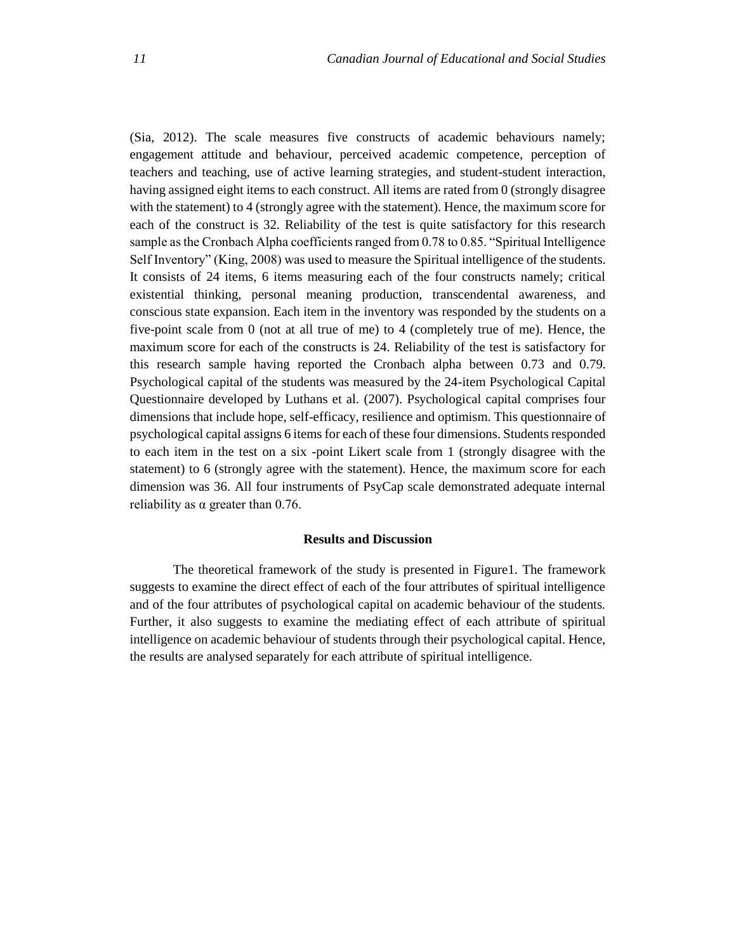(Sia, 2012). The scale measures five constructs of academic behaviours namely; engagement attitude and behaviour, perceived academic competence, perception of teachers and teaching, use of active learning strategies, and student-student interaction, having assigned eight items to each construct. All items are rated from 0 (strongly disagree with the statement) to 4 (strongly agree with the statement). Hence, the maximum score for each of the construct is 32. Reliability of the test is quite satisfactory for this research sample as the Cronbach Alpha coefficients ranged from 0.78 to 0.85. "Spiritual Intelligence Self Inventory" (King, 2008) was used to measure the Spiritual intelligence of the students. It consists of 24 items, 6 items measuring each of the four constructs namely; critical existential thinking, personal meaning production, transcendental awareness, and conscious state expansion. Each item in the inventory was responded by the students on a five-point scale from 0 (not at all true of me) to 4 (completely true of me). Hence, the maximum score for each of the constructs is 24. Reliability of the test is satisfactory for this research sample having reported the Cronbach alpha between 0.73 and 0.79. Psychological capital of the students was measured by the 24-item Psychological Capital Questionnaire developed by Luthans et al. (2007). Psychological capital comprises four dimensions that include hope, self-efficacy, resilience and optimism. This questionnaire of psychological capital assigns 6 items for each of these four dimensions. Students responded to each item in the test on a six -point Likert scale from 1 (strongly disagree with the statement) to 6 (strongly agree with the statement). Hence, the maximum score for each dimension was 36. All four instruments of PsyCap scale demonstrated adequate internal reliability as  $\alpha$  greater than 0.76.

## **Results and Discussion**

The theoretical framework of the study is presented in Figure1. The framework suggests to examine the direct effect of each of the four attributes of spiritual intelligence and of the four attributes of psychological capital on academic behaviour of the students. Further, it also suggests to examine the mediating effect of each attribute of spiritual intelligence on academic behaviour of students through their psychological capital. Hence, the results are analysed separately for each attribute of spiritual intelligence.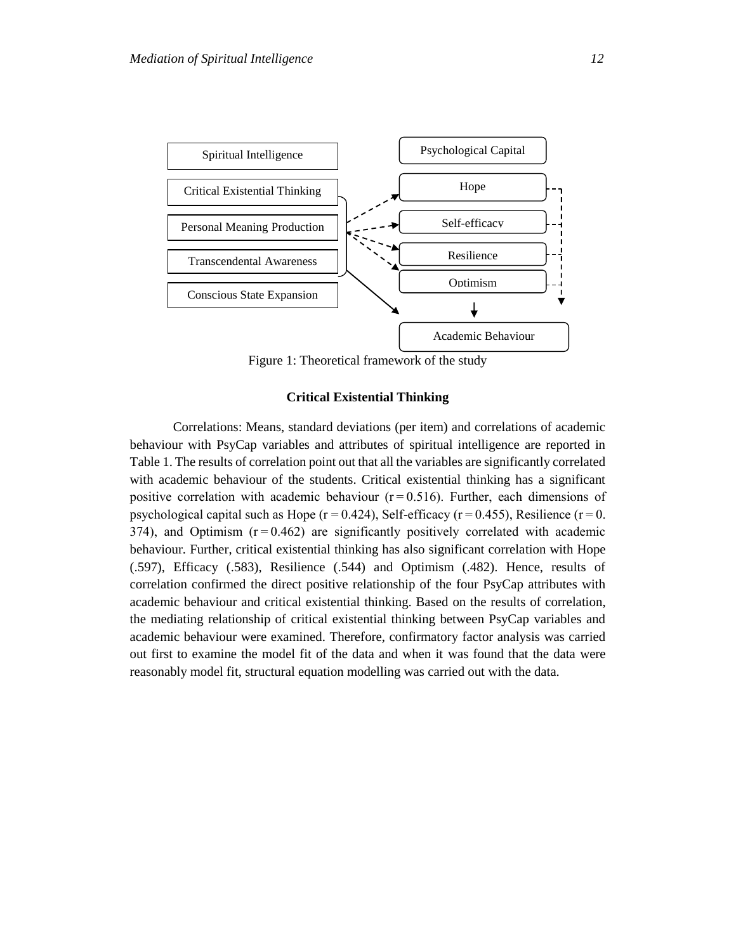

Figure 1: Theoretical framework of the study

# **Critical Existential Thinking**

Correlations: Means, standard deviations (per item) and correlations of academic behaviour with PsyCap variables and attributes of spiritual intelligence are reported in Table 1. The results of correlation point out that all the variables are significantly correlated with academic behaviour of the students. Critical existential thinking has a significant positive correlation with academic behaviour  $(r=0.516)$ . Further, each dimensions of psychological capital such as Hope ( $r = 0.424$ ), Self-efficacy ( $r = 0.455$ ), Resilience ( $r = 0$ .  $374$ ), and Optimism  $(r=0.462)$  are significantly positively correlated with academic behaviour. Further, critical existential thinking has also significant correlation with Hope (.597), Efficacy (.583), Resilience (.544) and Optimism (.482). Hence, results of correlation confirmed the direct positive relationship of the four PsyCap attributes with academic behaviour and critical existential thinking. Based on the results of correlation, the mediating relationship of critical existential thinking between PsyCap variables and academic behaviour were examined. Therefore, confirmatory factor analysis was carried out first to examine the model fit of the data and when it was found that the data were reasonably model fit, structural equation modelling was carried out with the data.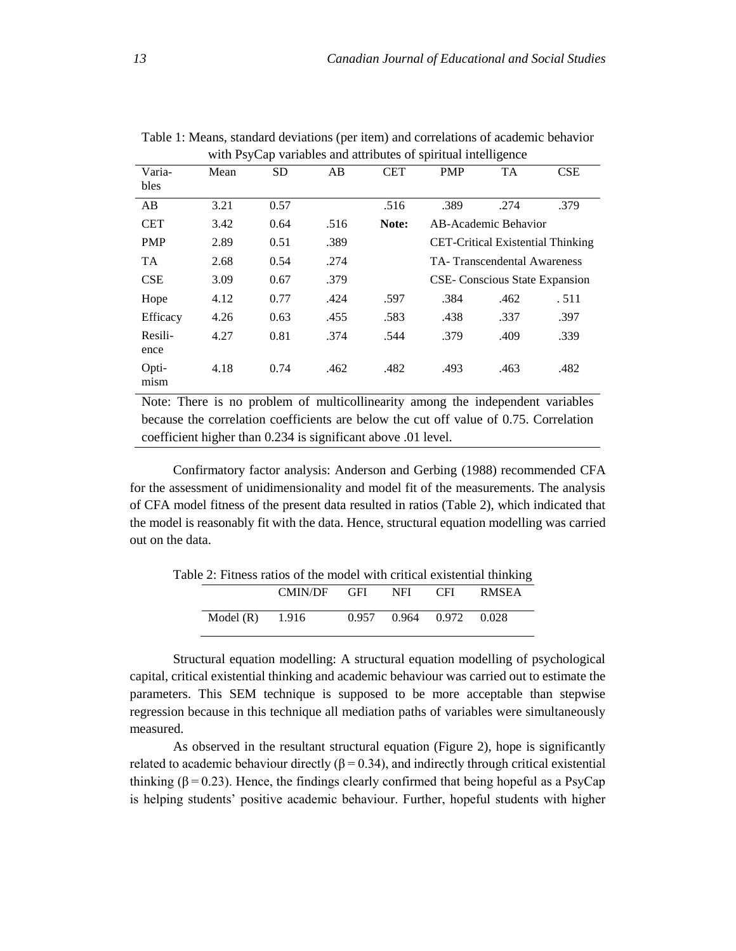|                 |      |           |      |            | л.         | ັ                                     |                                          |
|-----------------|------|-----------|------|------------|------------|---------------------------------------|------------------------------------------|
| Varia-<br>bles  | Mean | <b>SD</b> | AB   | <b>CET</b> | <b>PMP</b> | <b>TA</b>                             | CSE                                      |
| AB              | 3.21 | 0.57      |      | .516       | .389       | .274                                  | .379                                     |
| <b>CET</b>      | 3.42 | 0.64      | .516 | Note:      |            | AB-Academic Behavior                  |                                          |
| <b>PMP</b>      | 2.89 | 0.51      | .389 |            |            |                                       | <b>CET-Critical Existential Thinking</b> |
| <b>TA</b>       | 2.68 | 0.54      | .274 |            |            | TA-Transcendental Awareness           |                                          |
| <b>CSE</b>      | 3.09 | 0.67      | .379 |            |            | <b>CSE-</b> Conscious State Expansion |                                          |
| Hope            | 4.12 | 0.77      | .424 | .597       | .384       | .462                                  | .511                                     |
| Efficacy        | 4.26 | 0.63      | .455 | .583       | .438       | .337                                  | .397                                     |
| Resili-<br>ence | 4.27 | 0.81      | .374 | .544       | .379       | .409                                  | .339                                     |
| Opti-<br>mism   | 4.18 | 0.74      | .462 | .482       | .493       | .463                                  | .482                                     |

Table 1: Means, standard deviations (per item) and correlations of academic behavior with PsyCap variables and attributes of spiritual intelligence

Note: There is no problem of multicollinearity among the independent variables because the correlation coefficients are below the cut off value of 0.75. Correlation coefficient higher than 0.234 is significant above .01 level.

Confirmatory factor analysis: Anderson and Gerbing (1988) recommended CFA for the assessment of unidimensionality and model fit of the measurements. The analysis of CFA model fitness of the present data resulted in ratios (Table 2), which indicated that the model is reasonably fit with the data. Hence, structural equation modelling was carried out on the data.

|             | CMIN/DF | GFI   | NFI. | <b>CFI</b>  | <b>RMSEA</b> |
|-------------|---------|-------|------|-------------|--------------|
| Model $(R)$ | 1.916   | 0.957 |      | 0.964 0.972 | 0.028        |

Table 2: Fitness ratios of the model with critical existential thinking

Structural equation modelling: A structural equation modelling of psychological capital, critical existential thinking and academic behaviour was carried out to estimate the parameters. This SEM technique is supposed to be more acceptable than stepwise regression because in this technique all mediation paths of variables were simultaneously measured.

As observed in the resultant structural equation (Figure 2), hope is significantly related to academic behaviour directly ( $β = 0.34$ ), and indirectly through critical existential thinking  $(\beta = 0.23)$ . Hence, the findings clearly confirmed that being hopeful as a PsyCap is helping students' positive academic behaviour. Further, hopeful students with higher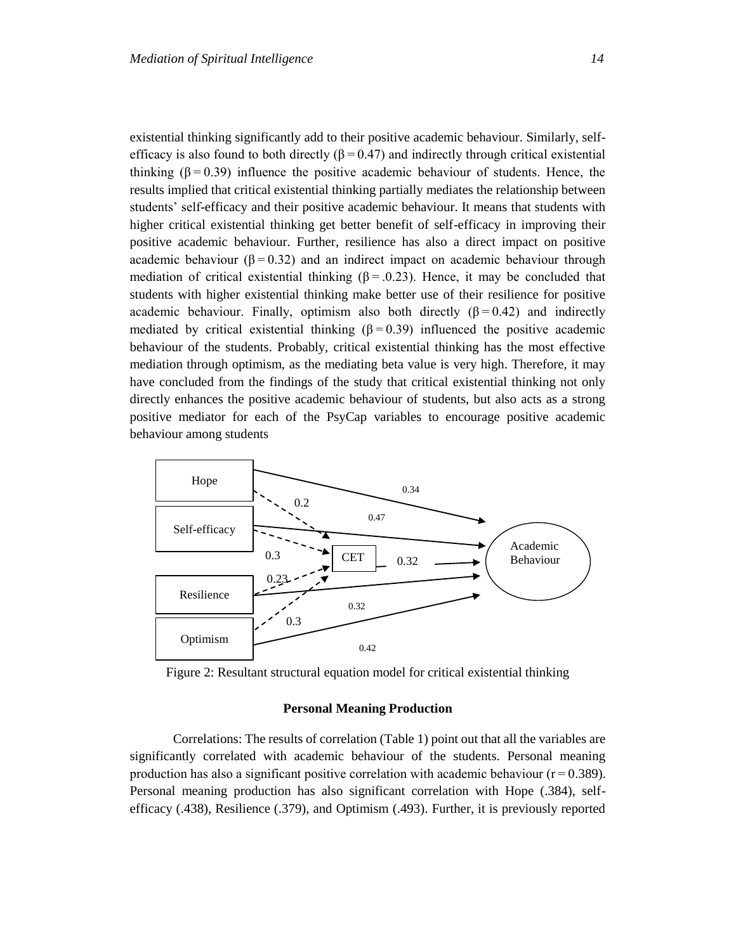existential thinking significantly add to their positive academic behaviour. Similarly, selfefficacy is also found to both directly ( $\beta = 0.47$ ) and indirectly through critical existential thinking  $(\beta = 0.39)$  influence the positive academic behaviour of students. Hence, the results implied that critical existential thinking partially mediates the relationship between students' self-efficacy and their positive academic behaviour. It means that students with higher critical existential thinking get better benefit of self-efficacy in improving their positive academic behaviour. Further, resilience has also a direct impact on positive academic behaviour ( $\beta = 0.32$ ) and an indirect impact on academic behaviour through mediation of critical existential thinking ( $\beta = 0.23$ ). Hence, it may be concluded that students with higher existential thinking make better use of their resilience for positive academic behaviour. Finally, optimism also both directly  $(\beta = 0.42)$  and indirectly mediated by critical existential thinking  $(\beta = 0.39)$  influenced the positive academic behaviour of the students. Probably, critical existential thinking has the most effective mediation through optimism, as the mediating beta value is very high. Therefore, it may have concluded from the findings of the study that critical existential thinking not only directly enhances the positive academic behaviour of students, but also acts as a strong positive mediator for each of the PsyCap variables to encourage positive academic behaviour among students



Figure 2: Resultant structural equation model for critical existential thinking

#### **Personal Meaning Production**

Correlations: The results of correlation (Table 1) point out that all the variables are significantly correlated with academic behaviour of the students. Personal meaning production has also a significant positive correlation with academic behaviour ( $r = 0.389$ ). Personal meaning production has also significant correlation with Hope (.384), selfefficacy (.438), Resilience (.379), and Optimism (.493). Further, it is previously reported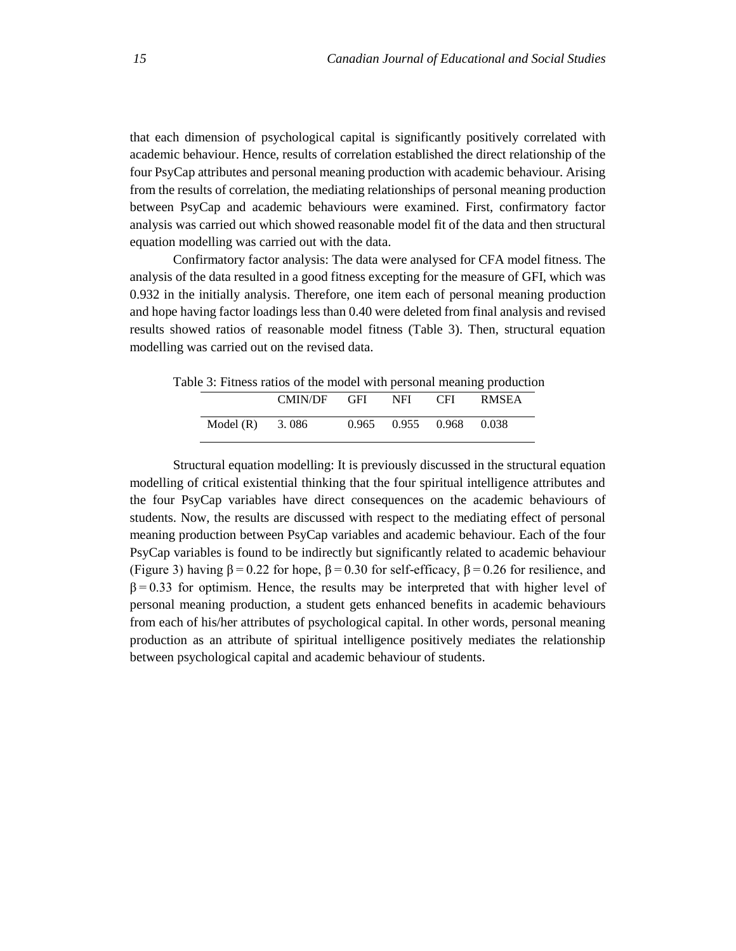that each dimension of psychological capital is significantly positively correlated with academic behaviour. Hence, results of correlation established the direct relationship of the four PsyCap attributes and personal meaning production with academic behaviour. Arising from the results of correlation, the mediating relationships of personal meaning production between PsyCap and academic behaviours were examined. First, confirmatory factor analysis was carried out which showed reasonable model fit of the data and then structural equation modelling was carried out with the data.

Confirmatory factor analysis: The data were analysed for CFA model fitness. The analysis of the data resulted in a good fitness excepting for the measure of GFI, which was 0.932 in the initially analysis. Therefore, one item each of personal meaning production and hope having factor loadings less than 0.40 were deleted from final analysis and revised results showed ratios of reasonable model fitness (Table 3). Then, structural equation modelling was carried out on the revised data.

|                   | ble 5: Fitness ratios of the model with personal meaning production |       |                   |       |  |
|-------------------|---------------------------------------------------------------------|-------|-------------------|-------|--|
|                   | CMIN/DF GFI NFI CFI                                                 |       |                   | RMSEA |  |
| Model $(R)$ 3.086 |                                                                     | 0.965 | 0.955 0.968 0.038 |       |  |

Table 3: Fitness ratios of the model with personal meaning production

Structural equation modelling: It is previously discussed in the structural equation modelling of critical existential thinking that the four spiritual intelligence attributes and the four PsyCap variables have direct consequences on the academic behaviours of students. Now, the results are discussed with respect to the mediating effect of personal meaning production between PsyCap variables and academic behaviour. Each of the four PsyCap variables is found to be indirectly but significantly related to academic behaviour (Figure 3) having  $β = 0.22$  for hope,  $β = 0.30$  for self-efficacy,  $β = 0.26$  for resilience, and  $β = 0.33$  for optimism. Hence, the results may be interpreted that with higher level of personal meaning production, a student gets enhanced benefits in academic behaviours from each of his/her attributes of psychological capital. In other words, personal meaning production as an attribute of spiritual intelligence positively mediates the relationship between psychological capital and academic behaviour of students.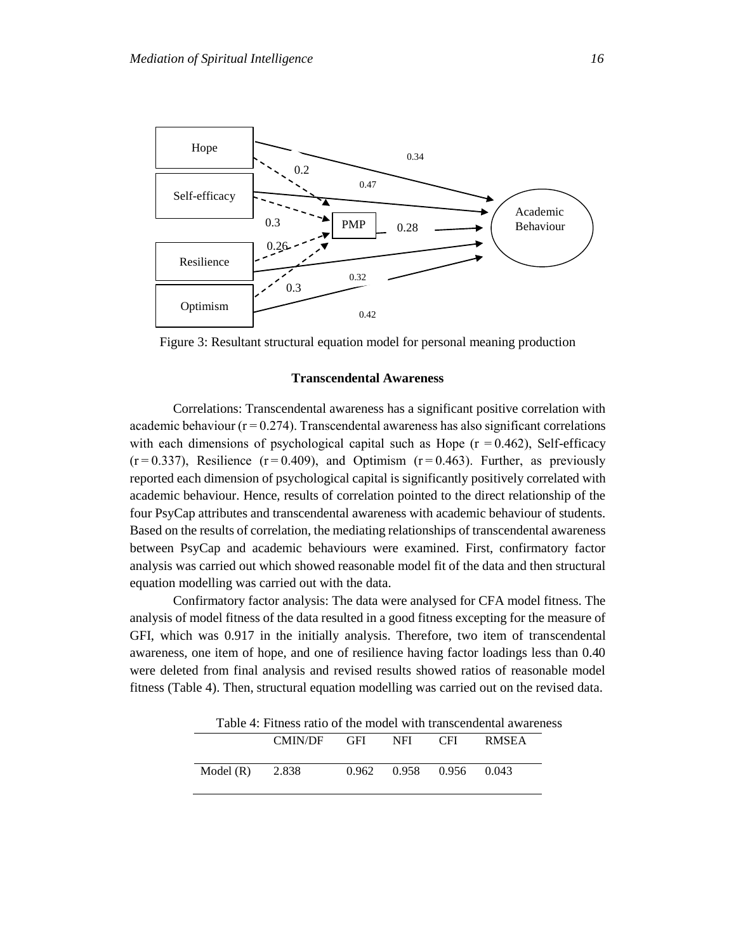

Figure 3: Resultant structural equation model for personal meaning production

# **Transcendental Awareness**

Correlations: Transcendental awareness has a significant positive correlation with academic behaviour ( $r = 0.274$ ). Transcendental awareness has also significant correlations with each dimensions of psychological capital such as Hope  $(r = 0.462)$ , Self-efficacy  $(r=0.337)$ , Resilience  $(r=0.409)$ , and Optimism  $(r=0.463)$ . Further, as previously reported each dimension of psychological capital is significantly positively correlated with academic behaviour. Hence, results of correlation pointed to the direct relationship of the four PsyCap attributes and transcendental awareness with academic behaviour of students. Based on the results of correlation, the mediating relationships of transcendental awareness between PsyCap and academic behaviours were examined. First, confirmatory factor analysis was carried out which showed reasonable model fit of the data and then structural equation modelling was carried out with the data.

Confirmatory factor analysis: The data were analysed for CFA model fitness. The analysis of model fitness of the data resulted in a good fitness excepting for the measure of GFI, which was 0.917 in the initially analysis. Therefore, two item of transcendental awareness, one item of hope, and one of resilience having factor loadings less than 0.40 were deleted from final analysis and revised results showed ratios of reasonable model fitness (Table 4). Then, structural equation modelling was carried out on the revised data.

Table 4: Fitness ratio of the model with transcendental awareness

|             | <b>CMIN/DF</b> | <b>GFI</b> | NFI. | CFI.        | <b>RMSEA</b> |
|-------------|----------------|------------|------|-------------|--------------|
| Model $(R)$ | 2.838          | 0.962      |      | 0.958 0.956 | 0.043        |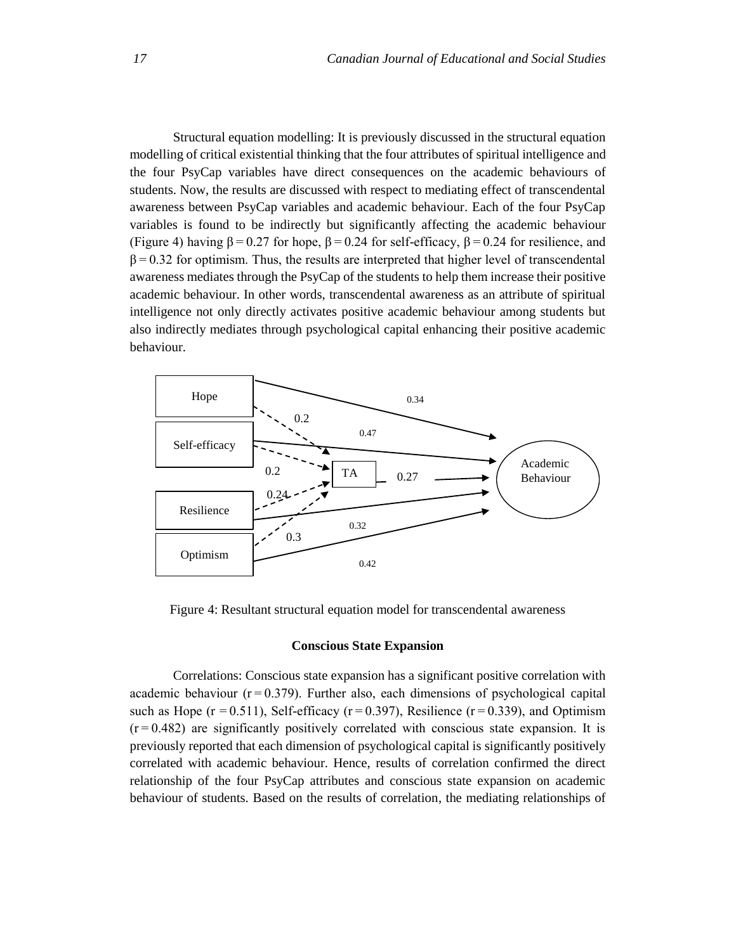Structural equation modelling: It is previously discussed in the structural equation modelling of critical existential thinking that the four attributes of spiritual intelligence and the four PsyCap variables have direct consequences on the academic behaviours of students. Now, the results are discussed with respect to mediating effect of transcendental awareness between PsyCap variables and academic behaviour. Each of the four PsyCap variables is found to be indirectly but significantly affecting the academic behaviour (Figure 4) having  $β = 0.27$  for hope,  $β = 0.24$  for self-efficacy,  $β = 0.24$  for resilience, and  $\beta = 0.32$  for optimism. Thus, the results are interpreted that higher level of transcendental awareness mediates through the PsyCap of the students to help them increase their positive academic behaviour. In other words, transcendental awareness as an attribute of spiritual intelligence not only directly activates positive academic behaviour among students but also indirectly mediates through psychological capital enhancing their positive academic behaviour.



Figure 4: Resultant structural equation model for transcendental awareness

## **Conscious State Expansion**

Correlations: Conscious state expansion has a significant positive correlation with academic behaviour  $(r=0.379)$ . Further also, each dimensions of psychological capital such as Hope ( $r = 0.511$ ), Self-efficacy ( $r = 0.397$ ), Resilience ( $r = 0.339$ ), and Optimism  $(r = 0.482)$  are significantly positively correlated with conscious state expansion. It is previously reported that each dimension of psychological capital is significantly positively correlated with academic behaviour. Hence, results of correlation confirmed the direct relationship of the four PsyCap attributes and conscious state expansion on academic behaviour of students. Based on the results of correlation, the mediating relationships of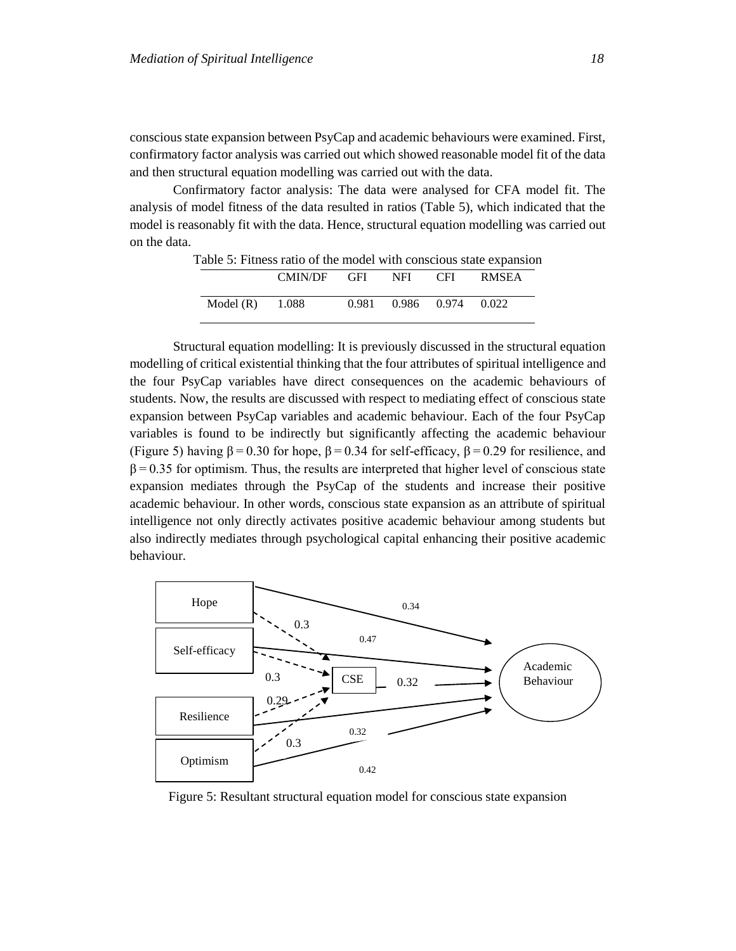conscious state expansion between PsyCap and academic behaviours were examined. First, confirmatory factor analysis was carried out which showed reasonable model fit of the data and then structural equation modelling was carried out with the data.

Confirmatory factor analysis: The data were analysed for CFA model fit. The analysis of model fitness of the data resulted in ratios (Table 5), which indicated that the model is reasonably fit with the data. Hence, structural equation modelling was carried out on the data.

| radio 5. Fruitess ratio of the moder with conscious state expansion |                           |  |                         |  |
|---------------------------------------------------------------------|---------------------------|--|-------------------------|--|
|                                                                     | CMIN/DF GFI NFI CFI RMSEA |  |                         |  |
| Model $(R)$ 1.088                                                   |                           |  | 0.981 0.986 0.974 0.022 |  |

Table 5: Fitness ratio of the model with conscious state expansion

Structural equation modelling: It is previously discussed in the structural equation modelling of critical existential thinking that the four attributes of spiritual intelligence and the four PsyCap variables have direct consequences on the academic behaviours of students. Now, the results are discussed with respect to mediating effect of conscious state expansion between PsyCap variables and academic behaviour. Each of the four PsyCap variables is found to be indirectly but significantly affecting the academic behaviour (Figure 5) having  $β = 0.30$  for hope,  $β = 0.34$  for self-efficacy,  $β = 0.29$  for resilience, and  $β = 0.35$  for optimism. Thus, the results are interpreted that higher level of conscious state expansion mediates through the PsyCap of the students and increase their positive academic behaviour. In other words, conscious state expansion as an attribute of spiritual intelligence not only directly activates positive academic behaviour among students but also indirectly mediates through psychological capital enhancing their positive academic behaviour.



Figure 5: Resultant structural equation model for conscious state expansion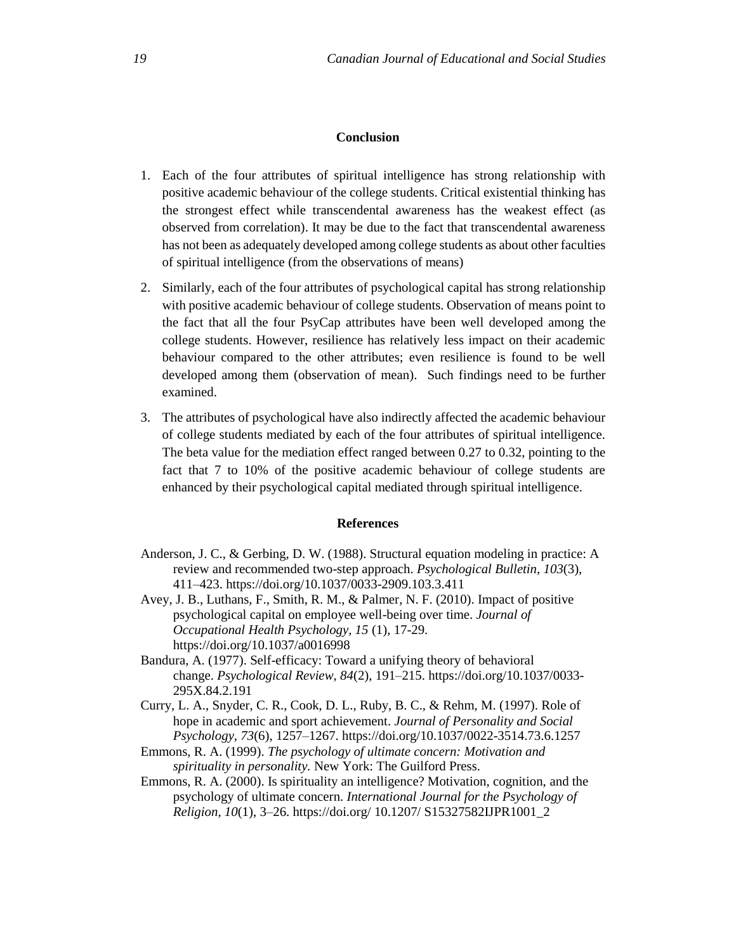# **Conclusion**

- 1. Each of the four attributes of spiritual intelligence has strong relationship with positive academic behaviour of the college students. Critical existential thinking has the strongest effect while transcendental awareness has the weakest effect (as observed from correlation). It may be due to the fact that transcendental awareness has not been as adequately developed among college students as about other faculties of spiritual intelligence (from the observations of means)
- 2. Similarly, each of the four attributes of psychological capital has strong relationship with positive academic behaviour of college students. Observation of means point to the fact that all the four PsyCap attributes have been well developed among the college students. However, resilience has relatively less impact on their academic behaviour compared to the other attributes; even resilience is found to be well developed among them (observation of mean). Such findings need to be further examined.
- 3. The attributes of psychological have also indirectly affected the academic behaviour of college students mediated by each of the four attributes of spiritual intelligence. The beta value for the mediation effect ranged between 0.27 to 0.32, pointing to the fact that 7 to 10% of the positive academic behaviour of college students are enhanced by their psychological capital mediated through spiritual intelligence.

# **References**

- Anderson, J. C., & Gerbing, D. W. (1988). Structural equation modeling in practice: A review and recommended two-step approach. *Psychological Bulletin, 103*(3), 411–423. [https://doi.org/10.1037/0033-2909.103.3.411](https://psycnet.apa.org/doi/10.1037/0033-2909.103.3.411)
- Avey, J. B., Luthans, F., Smith, R. M., & Palmer, N. F. (2010). Impact of positive psychological capital on employee well-being over time. *Journal of Occupational Health Psychology, 15* (1), 17-29. https://doi.org/10.1037/a0016998
- Bandura, A. (1977). Self-efficacy: Toward a unifying theory of behavioral change. *Psychological Review, 84*(2), 191–215. [https://doi.org/10.1037/0033-](https://psycnet.apa.org/doi/10.1037/0033-295X.84.2.191) [295X.84.2.191](https://psycnet.apa.org/doi/10.1037/0033-295X.84.2.191)
- Curry, L. A., Snyder, C. R., Cook, D. L., Ruby, B. C., & Rehm, M. (1997). Role of hope in academic and sport achievement. *Journal of Personality and Social Psychology, 73*(6), 1257–1267. [https://doi.org/10.1037/0022-3514.73.6.1257](https://psycnet.apa.org/doi/10.1037/0022-3514.73.6.1257)
- Emmons, R. A. (1999). *The psychology of ultimate concern: Motivation and spirituality in personality.* New York: The Guilford Press.
- Emmons, R. A. (2000). Is spirituality an intelligence? Motivation, cognition, and the psychology of ultimate concern. *International Journal for the Psychology of Religion, 10*(1), 3–26. [https://doi.org/ 10.1207/ S15327582IJPR1001\\_2](https://doi.org/%2010.1207/%20S15327582IJPR1001_2)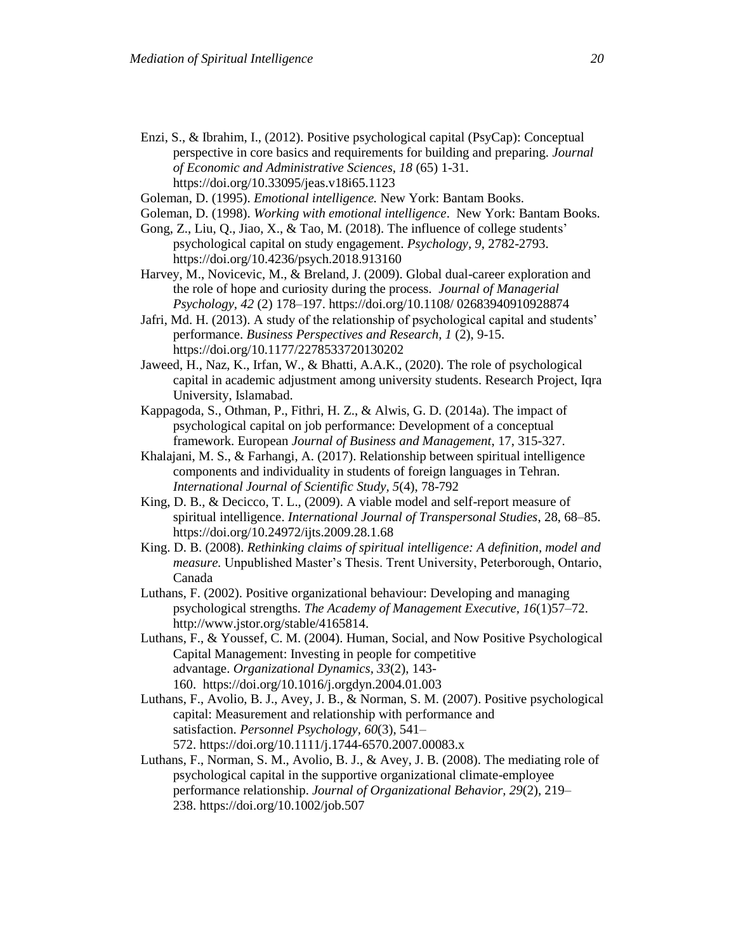- Enzi, S., & Ibrahim, I., (2012). Positive psychological capital (PsyCap): Conceptual perspective in core basics and requirements for building and preparing. *Journal of Economic and Administrative Sciences, 18* (65) 1-31. <https://doi.org/10.33095/jeas.v18i65.1123>
- Goleman, D. (1995). *Emotional intelligence.* New York: Bantam Books.
- Goleman, D. (1998). *Working with emotional intelligence*. New York: Bantam Books. Gong, Z., Liu, Q., Jiao, X., & Tao, M. (2018). The influence of college students' psychological capital on study engagement. *Psychology, 9*, 2782-2793.
- https://doi.org[/10.4236/psych.2018.913160](http://dx.doi.org/10.4236/psych.2018.913160)
- Harvey, M., Novicevic, M., & Breland, J. (2009). Global dual-career exploration and the role of hope and curiosity during the process. *Journal of Managerial Psychology, 42* (2) 178–197. https://doi.org[/10.1108/ 02683940910928874](http://dx.doi.org/10.1108/02683940910928874)
- Jafri, Md. H. (2013). A study of the relationship of psychological capital and students' performance. *Business Perspectives and Research, 1* (2), 9-15. https://doi.org/10.1177/2278533720130202
- Jaweed, H., Naz, K., Irfan, W., & Bhatti, A.A.K., (2020). The role of psychological capital in academic adjustment among university students. Research Project, Iqra University, Islamabad.
- Kappagoda, S., Othman, P., Fithri, H. Z., & Alwis, G. D. (2014a). The impact of psychological capital on job performance: Development of a conceptual framework. European *Journal of Business and Management*, 17, 315-327.
- Khalajani, M. S., & Farhangi, A. (2017). Relationship between spiritual intelligence components and individuality in students of foreign languages in Tehran. *International Journal of Scientific Study, 5*(4), 78-792
- King, D. B., & Decicco, T. L., (2009). A viable model and self-report measure of spiritual intelligence. *International Journal of Transpersonal Studies*, 28, 68–85. https://doi.org/10.24972/ijts.2009.28.1.68
- King. D. B. (2008). *Rethinking claims of spiritual intelligence: A definition, model and measure.* Unpublished Master's Thesis. Trent University, Peterborough, Ontario, Canada
- Luthans, F. (2002). Positive organizational behaviour: Developing and managing psychological strengths. *The Academy of Management Executive, 16*(1)57–72. [http://www.jstor.org/stable/4165814.](http://www.jstor.org/stable/4165814)
- Luthans, F., & Youssef, C. M. (2004). Human, Social, and Now Positive Psychological Capital Management: Investing in people for competitive advantage. *Organizational Dynamics, 33*(2), 143- 160. [https://doi.org/10.1016/j.orgdyn.2004.01.003](https://psycnet.apa.org/doi/10.1016/j.orgdyn.2004.01.003)
- Luthans, F., Avolio, B. J., Avey, J. B., & Norman, S. M. (2007). Positive psychological capital: Measurement and relationship with performance and satisfaction. *Personnel Psychology, 60*(3), 541– 572. [https://doi.org/10.1111/j.1744-6570.2007.00083.x](https://psycnet.apa.org/doi/10.1111/j.1744-6570.2007.00083.x)
- Luthans, F., Norman, S. M., Avolio, B. J., & Avey, J. B. (2008). The mediating role of psychological capital in the supportive organizational climate-employee performance relationship. *Journal of Organizational Behavior, 29*(2), 219– 238. [https://doi.org/10.1002/job.507](https://psycnet.apa.org/doi/10.1002/job.507)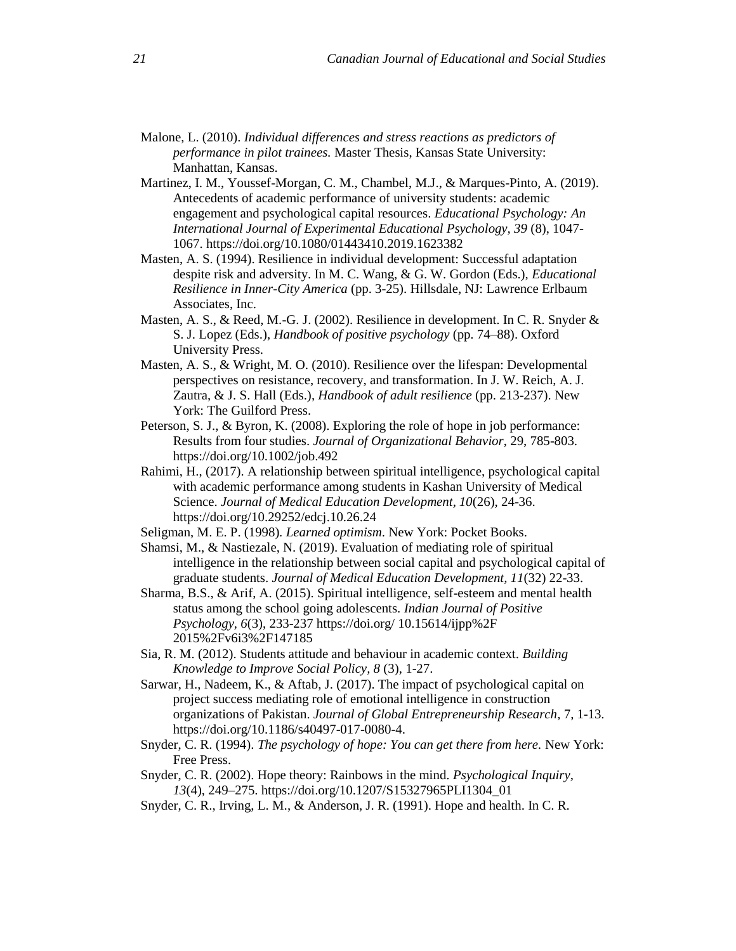- Malone, L. (2010). *Individual differences and stress reactions as predictors of performance in pilot trainees.* Master Thesis, Kansas State University: Manhattan, Kansas.
- Martinez, I. M., Youssef-Morgan, C. M., Chambel, M.J., & Marques-Pinto, A. (2019). Antecedents of academic performance of university students: academic engagement and psychological capital resources. *Educational Psychology: An International Journal of Experimental Educational Psychology, 39* (8), 1047- 1067.<https://doi.org/10.1080/01443410.2019.1623382>
- Masten, A. S. (1994). Resilience in individual development: Successful adaptation despite risk and adversity. In M. C. Wang, & G. W. Gordon (Eds.), *Educational Resilience in Inner-City America* (pp. 3-25). Hillsdale, NJ: Lawrence Erlbaum Associates, Inc.
- Masten, A. S., & Reed, M.-G. J. (2002). Resilience in development. In C. R. Snyder & S. J. Lopez (Eds.), *Handbook of positive psychology* (pp. 74–88). Oxford University Press.
- Masten, A. S., & Wright, M. O. (2010). Resilience over the lifespan: Developmental perspectives on resistance, recovery, and transformation. In J. W. Reich, A. J. Zautra, & J. S. Hall (Eds.), *Handbook of adult resilience* (pp. 213-237). New York: The Guilford Press.
- Peterson, S. J., & Byron, K. (2008). Exploring the role of hope in job performance: Results from four studies. *Journal of Organizational Behavior*, 29, 785-803. <https://doi.org/10.1002/job.492>
- Rahimi, H., (2017). A relationship between spiritual intelligence, psychological capital with academic performance among students in Kashan University of Medical Science. *Journal of Medical Education Development, 10*(26), 24-36. https://doi.org[/10.29252/edcj.10.26.24](http://dx.doi.org/10.29252/edcj.10.26.24)
- Seligman, M. E. P. (1998)*. Learned optimism*. New York: Pocket Books.
- Shamsi, M., & Nastiezale, N. (2019). Evaluation of mediating role of spiritual intelligence in the relationship between social capital and psychological capital of graduate students. *Journal of Medical Education Development, 11*(32) 22-33.
- Sharma, B.S., & Arif, A. (2015). Spiritual intelligence, self-esteem and mental health status among the school going adolescents. *Indian Journal of Positive Psychology, 6*(3), 233-237 [https://doi.org/ 10.15614/ijpp%2F](https://doi.org/%2010.15614/ijpp%2F%202015%2Fv6i3%2F147185)  [2015%2Fv6i3%2F147185](https://doi.org/%2010.15614/ijpp%2F%202015%2Fv6i3%2F147185)
- Sia, R. M. (2012). Students attitude and behaviour in academic context. *Building Knowledge to Improve Social Policy, 8* (3), 1-27.
- Sarwar, H., Nadeem, K., & Aftab, J. (2017). The impact of psychological capital on project success mediating role of emotional intelligence in construction organizations of Pakistan. *Journal of Global Entrepreneurship Research*, 7, 1-13. https://doi.org/10.1186/s40497-017-0080-4.
- Snyder, C. R. (1994). *The psychology of hope: You can get there from here.* New York: Free Press.
- Snyder, C. R. (2002). Hope theory: Rainbows in the mind. *Psychological Inquiry, 13*(4), 249–275. [https://doi.org/10.1207/S15327965PLI1304\\_01](https://psycnet.apa.org/doi/10.1207/S15327965PLI1304_01)
- Snyder, C. R., Irving, L. M., & Anderson, J. R. (1991). Hope and health. In C. R.